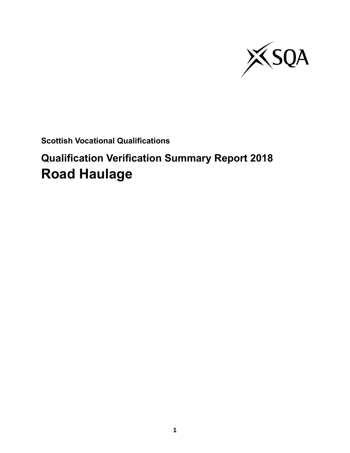

**Scottish Vocational Qualifications**

# **Qualification Verification Summary Report 2018 Road Haulage**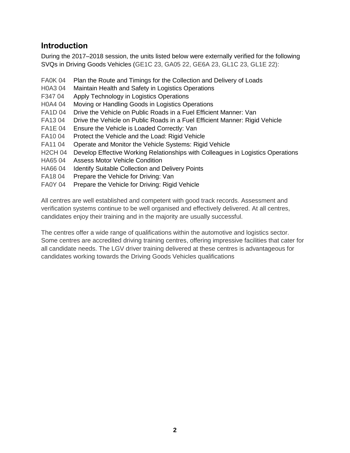### **Introduction**

During the 2017–2018 session, the units listed below were externally verified for the following SVQs in Driving Goods Vehicles (GE1C 23, GA05 22, GE6A 23, GL1C 23, GL1E 22):

- FA0K 04 Plan the Route and Timings for the Collection and Delivery of Loads
- H0A3 04 Maintain Health and Safety in Logistics Operations
- F347 04 Apply Technology in Logistics Operations
- H0A4 04 Moving or Handling Goods in Logistics Operations
- FA1D 04 Drive the Vehicle on Public Roads in a Fuel Efficient Manner: Van
- FA13 04 Drive the Vehicle on Public Roads in a Fuel Efficient Manner: Rigid Vehicle
- FA1E 04 Ensure the Vehicle is Loaded Correctly: Van
- FA10 04 Protect the Vehicle and the Load: Rigid Vehicle
- FA11 04 Operate and Monitor the Vehicle Systems: Rigid Vehicle
- H2CH 04 Develop Effective Working Relationships with Colleagues in Logistics Operations
- HA65 04 Assess Motor Vehicle Condition
- HA66 04 Identify Suitable Collection and Delivery Points
- FA18 04 Prepare the Vehicle for Driving: Van
- FA0Y 04 Prepare the Vehicle for Driving: Rigid Vehicle

All centres are well established and competent with good track records. Assessment and verification systems continue to be well organised and effectively delivered. At all centres, candidates enjoy their training and in the majority are usually successful.

The centres offer a wide range of qualifications within the automotive and logistics sector. Some centres are accredited driving training centres, offering impressive facilities that cater for all candidate needs. The LGV driver training delivered at these centres is advantageous for candidates working towards the Driving Goods Vehicles qualifications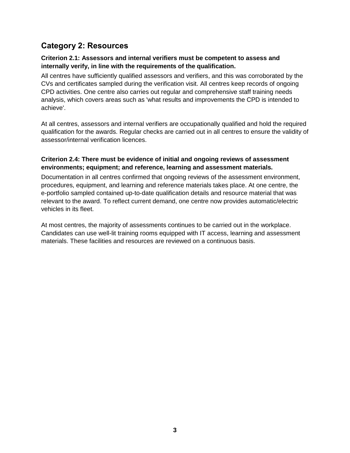## **Category 2: Resources**

#### **Criterion 2.1: Assessors and internal verifiers must be competent to assess and internally verify, in line with the requirements of the qualification.**

All centres have sufficiently qualified assessors and verifiers, and this was corroborated by the CVs and certificates sampled during the verification visit. All centres keep records of ongoing CPD activities. One centre also carries out regular and comprehensive staff training needs analysis, which covers areas such as 'what results and improvements the CPD is intended to achieve'.

At all centres, assessors and internal verifiers are occupationally qualified and hold the required qualification for the awards. Regular checks are carried out in all centres to ensure the validity of assessor/internal verification licences.

#### **Criterion 2.4: There must be evidence of initial and ongoing reviews of assessment environments; equipment; and reference, learning and assessment materials.**

Documentation in all centres confirmed that ongoing reviews of the assessment environment, procedures, equipment, and learning and reference materials takes place. At one centre, the e-portfolio sampled contained up-to-date qualification details and resource material that was relevant to the award. To reflect current demand, one centre now provides automatic/electric vehicles in its fleet.

At most centres, the majority of assessments continues to be carried out in the workplace. Candidates can use well-lit training rooms equipped with IT access, learning and assessment materials. These facilities and resources are reviewed on a continuous basis.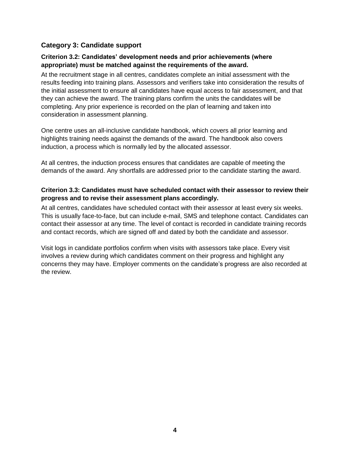#### **Category 3: Candidate support**

#### **Criterion 3.2: Candidates' development needs and prior achievements (where appropriate) must be matched against the requirements of the award.**

At the recruitment stage in all centres, candidates complete an initial assessment with the results feeding into training plans. Assessors and verifiers take into consideration the results of the initial assessment to ensure all candidates have equal access to fair assessment, and that they can achieve the award. The training plans confirm the units the candidates will be completing. Any prior experience is recorded on the plan of learning and taken into consideration in assessment planning.

One centre uses an all-inclusive candidate handbook, which covers all prior learning and highlights training needs against the demands of the award. The handbook also covers induction, a process which is normally led by the allocated assessor.

At all centres, the induction process ensures that candidates are capable of meeting the demands of the award. Any shortfalls are addressed prior to the candidate starting the award.

#### **Criterion 3.3: Candidates must have scheduled contact with their assessor to review their progress and to revise their assessment plans accordingly.**

At all centres, candidates have scheduled contact with their assessor at least every six weeks. This is usually face-to-face, but can include e-mail, SMS and telephone contact. Candidates can contact their assessor at any time. The level of contact is recorded in candidate training records and contact records, which are signed off and dated by both the candidate and assessor.

Visit logs in candidate portfolios confirm when visits with assessors take place. Every visit involves a review during which candidates comment on their progress and highlight any concerns they may have. Employer comments on the candidate's progress are also recorded at the review.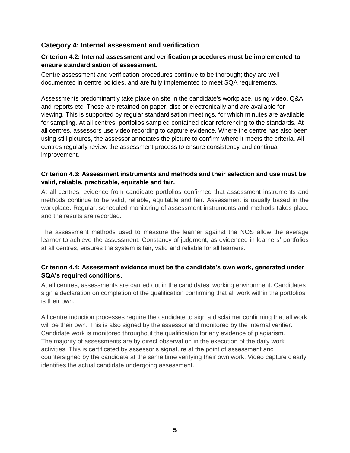#### **Category 4: Internal assessment and verification**

#### **Criterion 4.2: Internal assessment and verification procedures must be implemented to ensure standardisation of assessment.**

Centre assessment and verification procedures continue to be thorough; they are well documented in centre policies, and are fully implemented to meet SQA requirements.

Assessments predominantly take place on site in the candidate's workplace, using video, Q&A, and reports etc. These are retained on paper, disc or electronically and are available for viewing. This is supported by regular standardisation meetings, for which minutes are available for sampling. At all centres, portfolios sampled contained clear referencing to the standards. At all centres, assessors use video recording to capture evidence. Where the centre has also been using still pictures, the assessor annotates the picture to confirm where it meets the criteria. All centres regularly review the assessment process to ensure consistency and continual improvement.

#### **Criterion 4.3: Assessment instruments and methods and their selection and use must be valid, reliable, practicable, equitable and fair.**

At all centres, evidence from candidate portfolios confirmed that assessment instruments and methods continue to be valid, reliable, equitable and fair. Assessment is usually based in the workplace. Regular, scheduled monitoring of assessment instruments and methods takes place and the results are recorded.

The assessment methods used to measure the learner against the NOS allow the average learner to achieve the assessment. Constancy of judgment, as evidenced in learners' portfolios at all centres, ensures the system is fair, valid and reliable for all learners.

#### **Criterion 4.4: Assessment evidence must be the candidate's own work, generated under SQA's required conditions.**

At all centres, assessments are carried out in the candidates' working environment. Candidates sign a declaration on completion of the qualification confirming that all work within the portfolios is their own.

All centre induction processes require the candidate to sign a disclaimer confirming that all work will be their own. This is also signed by the assessor and monitored by the internal verifier. Candidate work is monitored throughout the qualification for any evidence of plagiarism. The majority of assessments are by direct observation in the execution of the daily work activities. This is certificated by assessor's signature at the point of assessment and countersigned by the candidate at the same time verifying their own work. Video capture clearly identifies the actual candidate undergoing assessment.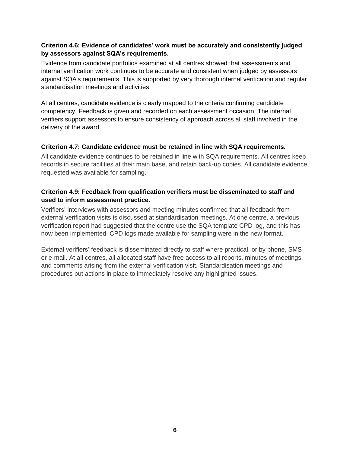#### **Criterion 4.6: Evidence of candidates' work must be accurately and consistently judged by assessors against SQA's requirements.**

Evidence from candidate portfolios examined at all centres showed that assessments and internal verification work continues to be accurate and consistent when judged by assessors against SQA's requirements. This is supported by very thorough internal verification and regular standardisation meetings and activities.

At all centres, candidate evidence is clearly mapped to the criteria confirming candidate competency. Feedback is given and recorded on each assessment occasion. The internal verifiers support assessors to ensure consistency of approach across all staff involved in the delivery of the award.

#### **Criterion 4.7: Candidate evidence must be retained in line with SQA requirements.**

All candidate evidence continues to be retained in line with SQA requirements. All centres keep records in secure facilities at their main base, and retain back-up copies. All candidate evidence requested was available for sampling.

#### **Criterion 4.9: Feedback from qualification verifiers must be disseminated to staff and used to inform assessment practice.**

Verifiers' interviews with assessors and meeting minutes confirmed that all feedback from external verification visits is discussed at standardisation meetings. At one centre, a previous verification report had suggested that the centre use the SQA template CPD log, and this has now been implemented. CPD logs made available for sampling were in the new format.

External verifiers' feedback is disseminated directly to staff where practical, or by phone, SMS or e-mail. At all centres, all allocated staff have free access to all reports, minutes of meetings, and comments arising from the external verification visit. Standardisation meetings and procedures put actions in place to immediately resolve any highlighted issues.